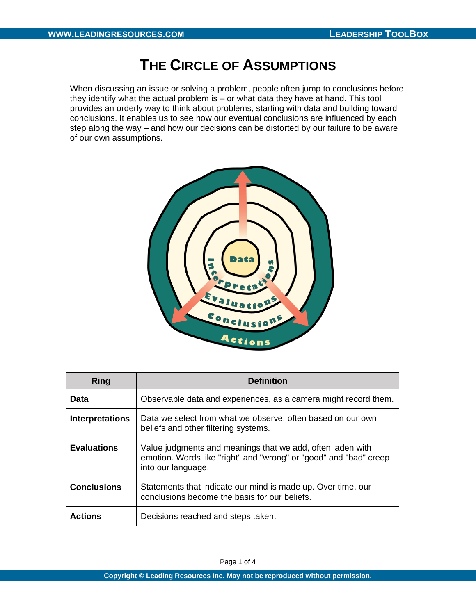## **THE CIRCLE OF ASSUMPTIONS**

When discussing an issue or solving a problem, people often jump to conclusions before they identify what the actual problem is – or what data they have at hand. This tool provides an orderly way to think about problems, starting with data and building toward conclusions. It enables us to see how our eventual conclusions are influenced by each step along the way – and how our decisions can be distorted by our failure to be aware of our own assumptions.



| Ring                   | <b>Definition</b>                                                                                                                                     |
|------------------------|-------------------------------------------------------------------------------------------------------------------------------------------------------|
| Data                   | Observable data and experiences, as a camera might record them.                                                                                       |
| <b>Interpretations</b> | Data we select from what we observe, often based on our own<br>beliefs and other filtering systems.                                                   |
| <b>Evaluations</b>     | Value judgments and meanings that we add, often laden with<br>emotion. Words like "right" and "wrong" or "good" and "bad" creep<br>into our language. |
| <b>Conclusions</b>     | Statements that indicate our mind is made up. Over time, our<br>conclusions become the basis for our beliefs.                                         |
| <b>Actions</b>         | Decisions reached and steps taken.                                                                                                                    |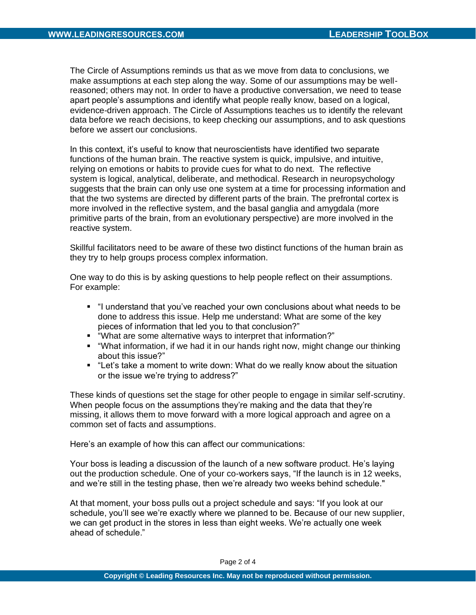The Circle of Assumptions reminds us that as we move from data to conclusions, we make assumptions at each step along the way. Some of our assumptions may be wellreasoned; others may not. In order to have a productive conversation, we need to tease apart people's assumptions and identify what people really know, based on a logical, evidence-driven approach. The Circle of Assumptions teaches us to identify the relevant data before we reach decisions, to keep checking our assumptions, and to ask questions before we assert our conclusions.

In this context, it's useful to know that neuroscientists have identified two separate functions of the human brain. The reactive system is quick, impulsive, and intuitive, relying on emotions or habits to provide cues for what to do next. The reflective system is logical, analytical, deliberate, and methodical. Research in neuropsychology suggests that the brain can only use one system at a time for processing information and that the two systems are directed by different parts of the brain. The prefrontal cortex is more involved in the reflective system, and the basal ganglia and amygdala (more primitive parts of the brain, from an evolutionary perspective) are more involved in the reactive system.

Skillful facilitators need to be aware of these two distinct functions of the human brain as they try to help groups process complex information.

One way to do this is by asking questions to help people reflect on their assumptions. For example:

- "I understand that you've reached your own conclusions about what needs to be done to address this issue. Help me understand: What are some of the key pieces of information that led you to that conclusion?"
- "What are some alternative ways to interpret that information?"
- "What information, if we had it in our hands right now, might change our thinking about this issue?"
- "Let's take a moment to write down: What do we really know about the situation or the issue we're trying to address?"

These kinds of questions set the stage for other people to engage in similar self-scrutiny. When people focus on the assumptions they're making and the data that they're missing, it allows them to move forward with a more logical approach and agree on a common set of facts and assumptions.

Here's an example of how this can affect our communications:

Your boss is leading a discussion of the launch of a new software product. He's laying out the production schedule. One of your co-workers says, "If the launch is in 12 weeks, and we're still in the testing phase, then we're already two weeks behind schedule."

At that moment, your boss pulls out a project schedule and says: "If you look at our schedule, you'll see we're exactly where we planned to be. Because of our new supplier, we can get product in the stores in less than eight weeks. We're actually one week ahead of schedule."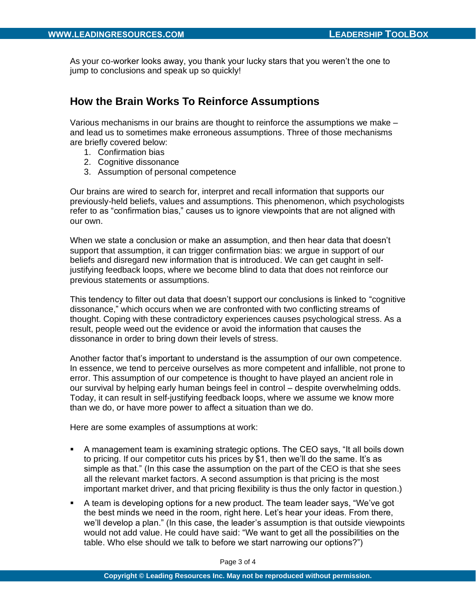As your co-worker looks away, you thank your lucky stars that you weren't the one to jump to conclusions and speak up so quickly!

## **How the Brain Works To Reinforce Assumptions**

Various mechanisms in our brains are thought to reinforce the assumptions we make – and lead us to sometimes make erroneous assumptions. Three of those mechanisms are briefly covered below:

- 1. Confirmation bias
- 2. Cognitive dissonance
- 3. Assumption of personal competence

Our brains are wired to search for, interpret and recall information that supports our previously-held beliefs, values and assumptions. This phenomenon, which psychologists refer to as "confirmation bias," causes us to ignore viewpoints that are not aligned with our own.

When we state a conclusion or make an assumption, and then hear data that doesn't support that assumption, it can trigger confirmation bias: we argue in support of our beliefs and disregard new information that is introduced. We can get caught in selfjustifying feedback loops, where we become blind to data that does not reinforce our previous statements or assumptions.

This tendency to filter out data that doesn't support our conclusions is linked to "cognitive dissonance," which occurs when we are confronted with two conflicting streams of thought. Coping with these contradictory experiences causes psychological stress. As a result, people weed out the evidence or avoid the information that causes the dissonance in order to bring down their levels of stress.

Another factor that's important to understand is the assumption of our own competence. In essence, we tend to perceive ourselves as more competent and infallible, not prone to error. This assumption of our competence is thought to have played an ancient role in our survival by helping early human beings feel in control – despite overwhelming odds. Today, it can result in self-justifying feedback loops, where we assume we know more than we do, or have more power to affect a situation than we do.

Here are some examples of assumptions at work:

- A management team is examining strategic options. The CEO says, "It all boils down to pricing. If our competitor cuts his prices by \$1, then we'll do the same. It's as simple as that." (In this case the assumption on the part of the CEO is that she sees all the relevant market factors. A second assumption is that pricing is the most important market driver, and that pricing flexibility is thus the only factor in question.)
- A team is developing options for a new product. The team leader says, "We've got the best minds we need in the room, right here. Let's hear your ideas. From there, we'll develop a plan." (In this case, the leader's assumption is that outside viewpoints would not add value. He could have said: "We want to get all the possibilities on the table. Who else should we talk to before we start narrowing our options?")